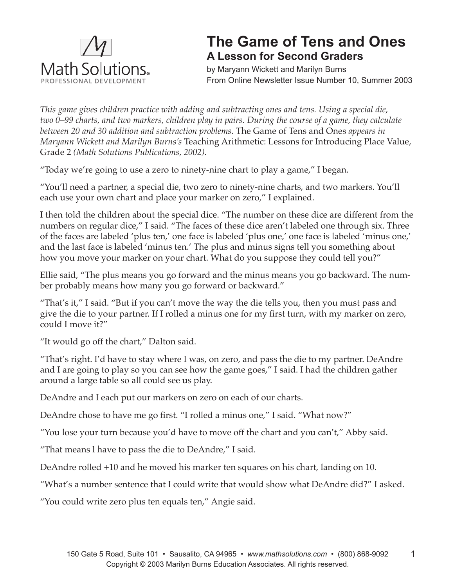

## **The Game of Tens and Ones A Lesson for Second Graders**

by Maryann Wickett and Marilyn Burns From Online Newsletter Issue Number 10, Summer 2003

*This game gives children practice with adding and subtracting ones and tens. Using a special die, two 0–99 charts, and two markers, children play in pairs. During the course of a game, they calculate between 20 and 30 addition and subtraction problems.* The Game of Tens and Ones *appears in Maryann Wickett and Marilyn Burns's* Teaching Arithmetic: Lessons for Introducing Place Value, Grade 2 *(Math Solutions Publications, 2002).* 

"Today we're going to use a zero to ninety-nine chart to play a game," I began.

"You'll need a partner, a special die, two zero to ninety-nine charts, and two markers. You'll each use your own chart and place your marker on zero," I explained.

I then told the children about the special dice. "The number on these dice are different from the numbers on regular dice," I said. "The faces of these dice aren't labeled one through six. Three of the faces are labeled 'plus ten,' one face is labeled 'plus one,' one face is labeled 'minus one,' and the last face is labeled 'minus ten.' The plus and minus signs tell you something about how you move your marker on your chart. What do you suppose they could tell you?"

Ellie said, "The plus means you go forward and the minus means you go backward. The number probably means how many you go forward or backward."

"That's it," I said. "But if you can't move the way the die tells you, then you must pass and give the die to your partner. If I rolled a minus one for my first turn, with my marker on zero, could I move it?"

"It would go off the chart," Dalton said.

"That's right. I'd have to stay where I was, on zero, and pass the die to my partner. DeAndre and I are going to play so you can see how the game goes," I said. I had the children gather around a large table so all could see us play.

DeAndre and I each put our markers on zero on each of our charts.

DeAndre chose to have me go first. "I rolled a minus one," I said. "What now?"

"You lose your turn because you'd have to move off the chart and you can't," Abby said.

"That means l have to pass the die to DeAndre," I said.

DeAndre rolled +10 and he moved his marker ten squares on his chart, landing on 10.

"What's a number sentence that I could write that would show what DeAndre did?" I asked.

"You could write zero plus ten equals ten," Angie said.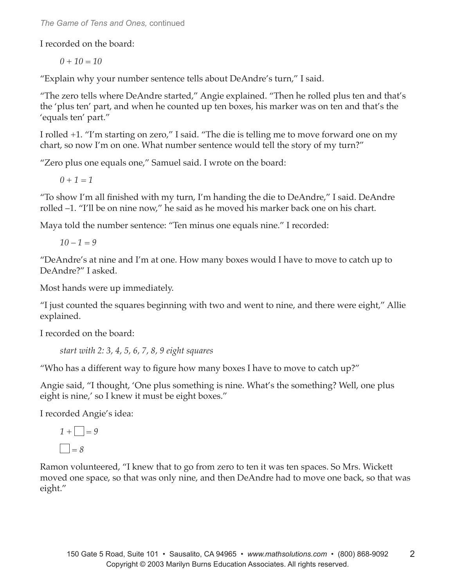*The Game of Tens and Ones,* continued

I recorded on the board:

*0 + 10 = 10*

"Explain why your number sentence tells about DeAndre's turn," I said.

"The zero tells where DeAndre started," Angie explained. "Then he rolled plus ten and that's the 'plus ten' part, and when he counted up ten boxes, his marker was on ten and that's the 'equals ten' part."

I rolled +1. "I'm starting on zero," I said. "The die is telling me to move forward one on my chart, so now I'm on one. What number sentence would tell the story of my turn?"

"Zero plus one equals one," Samuel said. I wrote on the board:

*0 + 1 = 1*

"To show I'm all finished with my turn, I'm handing the die to DeAndre," I said. DeAndre rolled –1. "I'll be on nine now," he said as he moved his marker back one on his chart.

Maya told the number sentence: "Ten minus one equals nine." I recorded:

*10 – 1 = 9*

"DeAndre's at nine and I'm at one. How many boxes would I have to move to catch up to DeAndre?" I asked.

Most hands were up immediately.

"I just counted the squares beginning with two and went to nine, and there were eight," Allie explained.

I recorded on the board:

*start with 2: 3, 4, 5, 6, 7, 8, 9 eight squares*

"Who has a different way to figure how many boxes I have to move to catch up?"

Angie said, "I thought, 'One plus something is nine. What's the something? Well, one plus eight is nine,' so I knew it must be eight boxes."

I recorded Angie's idea:

$$
1 + \square = 9
$$

$$
\square = 8
$$

Ramon volunteered, "I knew that to go from zero to ten it was ten spaces. So Mrs. Wickett moved one space, so that was only nine, and then DeAndre had to move one back, so that was eight."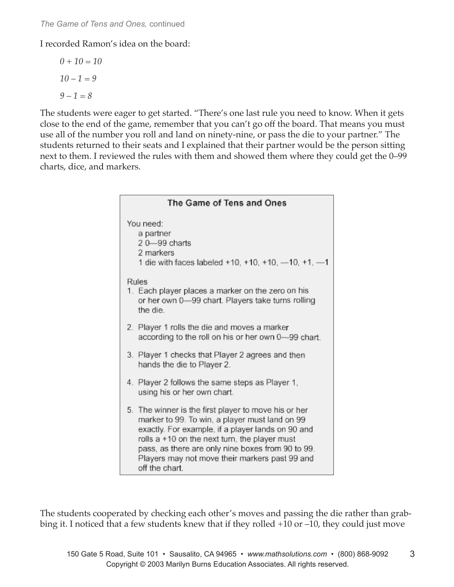I recorded Ramon's idea on the board:

$$
0 + 10 = 10
$$

$$
10 - 1 = 9
$$

$$
9 - 1 = 8
$$

The students were eager to get started. "There's one last rule you need to know. When it gets close to the end of the game, remember that you can't go off the board. That means you must use all of the number you roll and land on ninety-nine, or pass the die to your partner." The students returned to their seats and I explained that their partner would be the person sitting next to them. I reviewed the rules with them and showed them where they could get the 0–99 charts, dice, and markers.

| The Game of Tens and Ones                                                                                                                                                                                                                                                                                                             |
|---------------------------------------------------------------------------------------------------------------------------------------------------------------------------------------------------------------------------------------------------------------------------------------------------------------------------------------|
| You need:<br>a partner<br>20-99 charts<br>2 markers<br>1 die with faces labeled +10, +10, +10, -10, +1, -1                                                                                                                                                                                                                            |
| <b>Rules</b><br>1. Each player places a marker on the zero on his<br>or her own 0-99 chart. Players take turns rolling<br>the die.                                                                                                                                                                                                    |
| 2. Player 1 rolls the die and moves a marker<br>according to the roll on his or her own 0-99 chart.                                                                                                                                                                                                                                   |
| 3. Player 1 checks that Player 2 agrees and then<br>hands the die to Player 2.                                                                                                                                                                                                                                                        |
| 4. Player 2 follows the same steps as Player 1,<br>using his or her own chart.                                                                                                                                                                                                                                                        |
| 5. The winner is the first player to move his or her<br>marker to 99. To win, a player must land on 99<br>exactly. For example, if a player lands on 90 and<br>rolls a +10 on the next turn, the player must<br>pass, as there are only nine boxes from 90 to 99.<br>Players may not move their markers past 99 and<br>off the chart. |

The students cooperated by checking each other's moves and passing the die rather than grabbing it. I noticed that a few students knew that if they rolled +10 or –10, they could just move